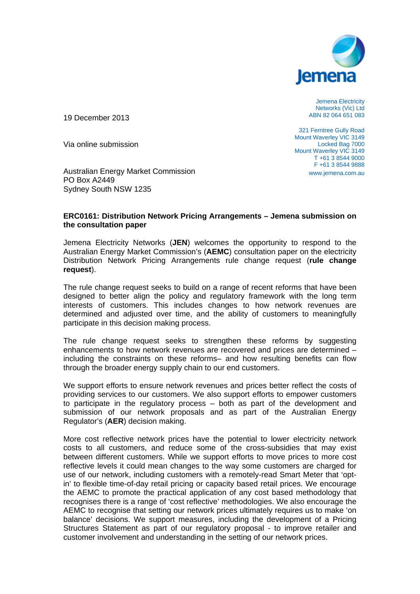

Jemena Electricity Networks (Vic) Ltd ABN 82 064 651 083

19 December 2013

Via online submission

Australian Energy Market Commission PO Box A2449 Sydney South NSW 1235

321 Ferntree Gully Road Mount Waverley VIC 3149 Locked Bag 7000 Mount Waverley VIC 3149 T +61 3 8544 9000 F +61 3 8544 9888 www.jemena.com.au

### **ERC0161: Distribution Network Pricing Arrangements – Jemena submission on the consultation paper**

Jemena Electricity Networks (**JEN**) welcomes the opportunity to respond to the Australian Energy Market Commission's (**AEMC**) consultation paper on the electricity Distribution Network Pricing Arrangements rule change request (**rule change request**).

The rule change request seeks to build on a range of recent reforms that have been designed to better align the policy and regulatory framework with the long term interests of customers. This includes changes to how network revenues are determined and adjusted over time, and the ability of customers to meaningfully participate in this decision making process.

The rule change request seeks to strengthen these reforms by suggesting enhancements to how network revenues are recovered and prices are determined – including the constraints on these reforms– and how resulting benefits can flow through the broader energy supply chain to our end customers.

We support efforts to ensure network revenues and prices better reflect the costs of providing services to our customers. We also support efforts to empower customers to participate in the regulatory process – both as part of the development and submission of our network proposals and as part of the Australian Energy Regulator's (**AER**) decision making.

More cost reflective network prices have the potential to lower electricity network costs to all customers, and reduce some of the cross-subsidies that may exist between different customers. While we support efforts to move prices to more cost reflective levels it could mean changes to the way some customers are charged for use of our network, including customers with a remotely-read Smart Meter that 'optin' to flexible time-of-day retail pricing or capacity based retail prices. We encourage the AEMC to promote the practical application of any cost based methodology that recognises there is a range of 'cost reflective' methodologies. We also encourage the AEMC to recognise that setting our network prices ultimately requires us to make 'on balance' decisions. We support measures, including the development of a Pricing Structures Statement as part of our regulatory proposal - to improve retailer and customer involvement and understanding in the setting of our network prices.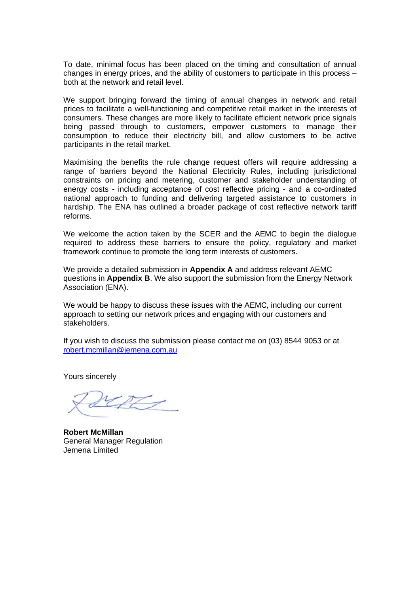To date, minimal focus has been placed on the timing and consultation of annual changes in energy prices, and the ability of customers to participate in this process both at the network and retail level.

We support bringing forward the timing of annual changes in network and retail prices to facilitate a well-functioning and competitive retail market in the interests of consumers. These changes are more likely to facilitate efficient network price signals being passed through to customers, empower customers to manage their consumption to reduce their electricity bill, and allow customers to be active participants in the retail market.

Maximising the benefits the rule change request offers will require addressing a range of barriers beyond the National Electricity Rules, including jurisdictional constraints on pricing and metering, customer and stakeholder understanding of energy costs - including acceptance of cost reflective pricing - and a co-ordinated national approach to funding and delivering targeted assistance to customers in hardship. The ENA has outlined a broader package of cost reflective network tariff refo orms.

We welcome the action taken by the SCER and the AEMC to begin the dialogue required to address these barriers to ensure the policy, regulatory and market framework continue to promote the long term interests of customers.

We provide a detailed submission in **Appendix A** and address relevant AEMC questions in Appendix B. We also support the submission from the Energy Network Association (ENA).

We would be happy to discuss these issues with the AEMC, including our current approach to setting our network prices and engaging with our customers and stak keholders.

If you wish to discuss the submission please contact me on (03) 8544 9053 or at <u>robert.mcmillan@jemena.com.au</u>

Yours sincerely

 $27$ 

**Rob bert McMill an**  General Manager Regulation Jem mena Limite d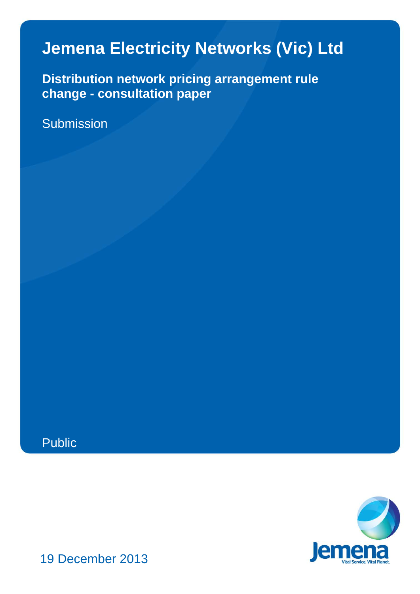# **Jemena Electricity Networks (Vic) Ltd**

**Distribution network pricing arrangement rule change - consultation paper**

Submission





19 December 2013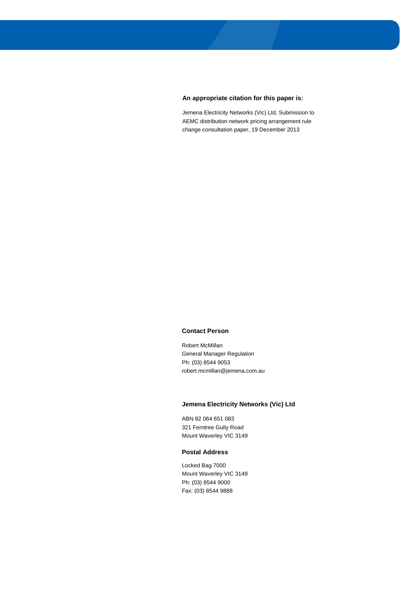#### **An appropriate citation for this paper is:**

Jemena Electricity Networks (Vic) Ltd, Submission to AEMC distribution network pricing arrangement rule change consultation paper, 19 December 2013

#### **Contact Person**

Robert McMillan General Manager Regulation Ph: (03) 8544 9053 robert.mcmillan@jemena.com.au

#### **Jemena Electricity Networks (Vic) Ltd**

ABN 82 064 651 083 321 Ferntree Gully Road Mount Waverley VIC 3149

#### **Postal Address**

Locked Bag 7000 Mount Waverley VIC 3149 Ph: (03) 8544 9000 Fax: (03) 8544 9888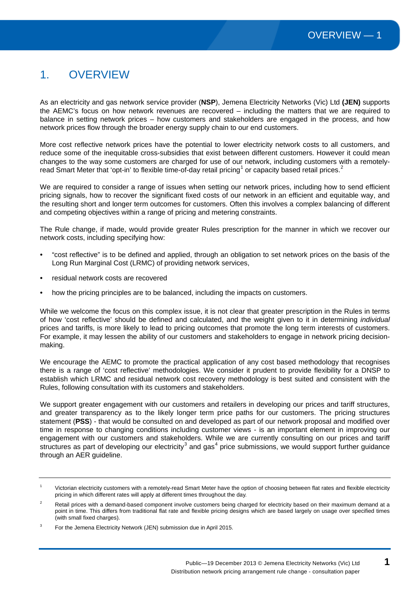# 1. OVERVIEW

As an electricity and gas network service provider (**NSP**), Jemena Electricity Networks (Vic) Ltd **(JEN)** supports the AEMC's focus on how network revenues are recovered – including the matters that we are required to balance in setting network prices – how customers and stakeholders are engaged in the process, and how network prices flow through the broader energy supply chain to our end customers.

More cost reflective network prices have the potential to lower electricity network costs to all customers, and reduce some of the inequitable cross-subsidies that exist between different customers. However it could mean changes to the way some customers are charged for use of our network, including customers with a remotely-read Smart Meter that 'opt-in' to flexible time-of-day retail pricing<sup>[1](#page-20-0)</sup> or capacity based retail prices.<sup>[2](#page-4-0)</sup>

We are required to consider a range of issues when setting our network prices, including how to send efficient pricing signals, how to recover the significant fixed costs of our network in an efficient and equitable way, and the resulting short and longer term outcomes for customers. Often this involves a complex balancing of different and competing objectives within a range of pricing and metering constraints.

The Rule change, if made, would provide greater Rules prescription for the manner in which we recover our network costs, including specifying how:

- "cost reflective" is to be defined and applied, through an obligation to set network prices on the basis of the Long Run Marginal Cost (LRMC) of providing network services,
- residual network costs are recovered
- how the pricing principles are to be balanced, including the impacts on customers.

While we welcome the focus on this complex issue, it is not clear that greater prescription in the Rules in terms of how 'cost reflective' should be defined and calculated, and the weight given to it in determining *individual* prices and tariffs, is more likely to lead to pricing outcomes that promote the long term interests of customers. For example, it may lessen the ability of our customers and stakeholders to engage in network pricing decisionmaking.

We encourage the AEMC to promote the practical application of any cost based methodology that recognises there is a range of 'cost reflective' methodologies. We consider it prudent to provide flexibility for a DNSP to establish which LRMC and residual network cost recovery methodology is best suited and consistent with the Rules, following consultation with its customers and stakeholders.

We support greater engagement with our customers and retailers in developing our prices and tariff structures, and greater transparency as to the likely longer term price paths for our customers. The pricing structures statement (**PSS**) - that would be consulted on and developed as part of our network proposal and modified over time in response to changing conditions including customer views - is an important element in improving our engagement with our customers and stakeholders. While we are currently consulting on our prices and tariff structures as part of developing our electricity<sup>[3](#page-4-1)</sup> and gas<sup>[4](#page-4-1)</sup> price submissions, we would support further guidance through an AER guideline.

<sup>&</sup>lt;sup>1</sup> Victorian electricity customers with a remotely-read Smart Meter have the option of choosing between flat rates and flexible electricity pricing in which different rates will apply at different times throughout the day.

<span id="page-4-0"></span><sup>&</sup>lt;sup>2</sup> Retail prices with a demand-based component involve customers being charged for electricity based on their maximum demand at a point in time. This differs from traditional flat rate and flexible pricing designs which are based largely on usage over specified times (with small fixed charges).

<span id="page-4-2"></span><span id="page-4-1"></span><sup>3</sup> For the Jemena Electricity Network (JEN) submission due in April 2015.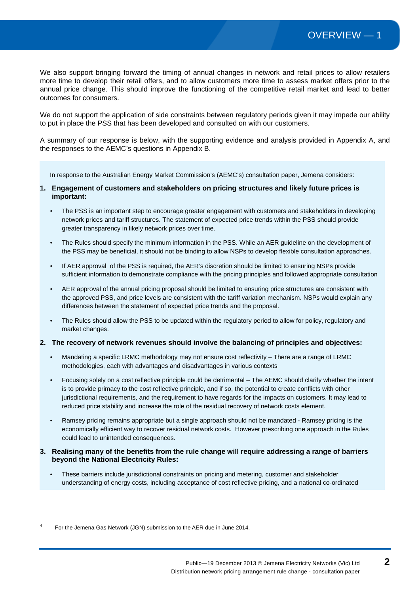We also support bringing forward the timing of annual changes in network and retail prices to allow retailers more time to develop their retail offers, and to allow customers more time to assess market offers prior to the annual price change. This should improve the functioning of the competitive retail market and lead to better outcomes for consumers.

We do not support the application of side constraints between regulatory periods given it may impede our ability to put in place the PSS that has been developed and consulted on with our customers.

A summary of our response is below, with the supporting evidence and analysis provided in Appendix A, and the responses to the AEMC's questions in Appendix B.

In response to the Australian Energy Market Commission's (AEMC's) consultation paper, Jemena considers:

- **1. Engagement of customers and stakeholders on pricing structures and likely future prices is important:**
	- The PSS is an important step to encourage greater engagement with customers and stakeholders in developing network prices and tariff structures. The statement of expected price trends within the PSS should provide greater transparency in likely network prices over time.
	- The Rules should specify the minimum information in the PSS. While an AER guideline on the development of the PSS may be beneficial, it should not be binding to allow NSPs to develop flexible consultation approaches.
	- If AER approval of the PSS is required, the AER's discretion should be limited to ensuring NSPs provide sufficient information to demonstrate compliance with the pricing principles and followed appropriate consultation
	- AER approval of the annual pricing proposal should be limited to ensuring price structures are consistent with the approved PSS, and price levels are consistent with the tariff variation mechanism. NSPs would explain any differences between the statement of expected price trends and the proposal.
	- The Rules should allow the PSS to be updated within the regulatory period to allow for policy, regulatory and market changes.

#### **2. The recovery of network revenues should involve the balancing of principles and objectives:**

- Mandating a specific LRMC methodology may not ensure cost reflectivity There are a range of LRMC methodologies, each with advantages and disadvantages in various contexts
- Focusing solely on a cost reflective principle could be detrimental The AEMC should clarify whether the intent is to provide primacy to the cost reflective principle, and if so, the potential to create conflicts with other jurisdictional requirements, and the requirement to have regards for the impacts on customers. It may lead to reduced price stability and increase the role of the residual recovery of network costs element.
- Ramsey pricing remains appropriate but a single approach should not be mandated Ramsey pricing is the economically efficient way to recover residual network costs. However prescribing one approach in the Rules could lead to unintended consequences.
- **3. Realising many of the benefits from the rule change will require addressing a range of barriers beyond the National Electricity Rules:**
	- These barriers include jurisdictional constraints on pricing and metering, customer and stakeholder understanding of energy costs, including acceptance of cost reflective pricing, and a national co-ordinated

<sup>4</sup> For the Jemena Gas Network (JGN) submission to the AER due in June 2014.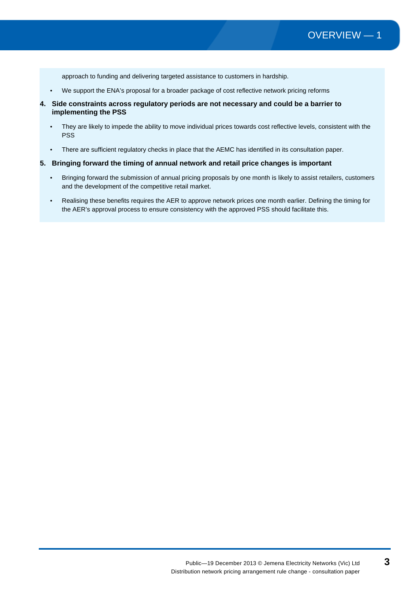approach to funding and delivering targeted assistance to customers in hardship.

- We support the ENA's proposal for a broader package of cost reflective network pricing reforms
- **4. Side constraints across regulatory periods are not necessary and could be a barrier to implementing the PSS**
	- They are likely to impede the ability to move individual prices towards cost reflective levels, consistent with the PSS
	- There are sufficient regulatory checks in place that the AEMC has identified in its consultation paper.

#### **5. Bringing forward the timing of annual network and retail price changes is important**

- Bringing forward the submission of annual pricing proposals by one month is likely to assist retailers, customers and the development of the competitive retail market.
- Realising these benefits requires the AER to approve network prices one month earlier. Defining the timing for the AER's approval process to ensure consistency with the approved PSS should facilitate this.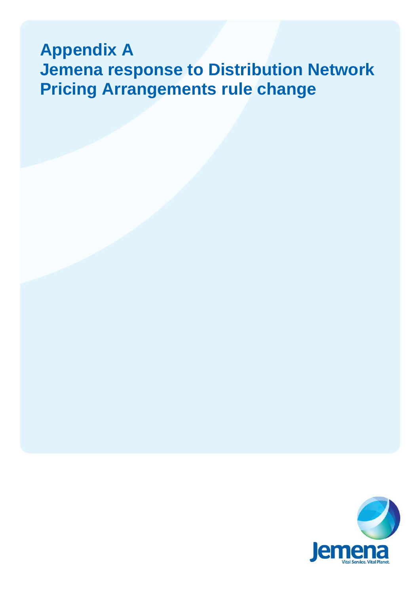# **Appendix A Jemena response to Distribution Network Pricing Arrangements rule change**

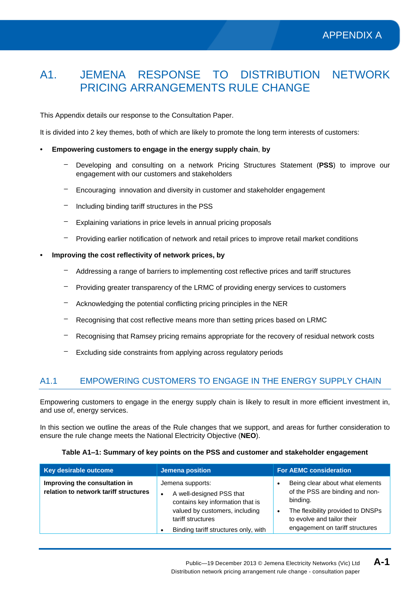# A1. JEMENA RESPONSE TO DISTRIBUTION NETWORK PRICING ARRANGEMENTS RULE CHANGE

This Appendix details our response to the Consultation Paper.

It is divided into 2 key themes, both of which are likely to promote the long term interests of customers:

#### • **Empowering customers to engage in the energy supply chain**, **by**

- Developing and consulting on a network Pricing Structures Statement (**PSS**) to improve our engagement with our customers and stakeholders
- Encouraging innovation and diversity in customer and stakeholder engagement
- Including binding tariff structures in the PSS
- $-$  Explaining variations in price levels in annual pricing proposals
- Providing earlier notification of network and retail prices to improve retail market conditions
- **Improving the cost reflectivity of network prices, by** 
	- Addressing a range of barriers to implementing cost reflective prices and tariff structures
	- Providing greater transparency of the LRMC of providing energy services to customers
	- Acknowledging the potential conflicting pricing principles in the NER
	- Recognising that cost reflective means more than setting prices based on LRMC
	- Recognising that Ramsey pricing remains appropriate for the recovery of residual network costs
	- Excluding side constraints from applying across regulatory periods

# A1.1 EMPOWERING CUSTOMERS TO ENGAGE IN THE ENERGY SUPPLY CHAIN

Empowering customers to engage in the energy supply chain is likely to result in more efficient investment in, and use of, energy services.

In this section we outline the areas of the Rule changes that we support, and areas for further consideration to ensure the rule change meets the National Electricity Objective (**NEO**).

| Key desirable outcome                                                  | Jemena position                                                                                                                                                                 | <b>For AEMC consideration</b>                                                                                                                                                                     |
|------------------------------------------------------------------------|---------------------------------------------------------------------------------------------------------------------------------------------------------------------------------|---------------------------------------------------------------------------------------------------------------------------------------------------------------------------------------------------|
| Improving the consultation in<br>relation to network tariff structures | Jemena supports:<br>A well-designed PSS that<br>contains key information that is<br>valued by customers, including<br>tariff structures<br>Binding tariff structures only, with | Being clear about what elements<br>of the PSS are binding and non-<br>binding.<br>The flexibility provided to DNSPs<br>$\bullet$<br>to evolve and tailor their<br>engagement on tariff structures |

#### **Table A1‒1: Summary of key points on the PSS and customer and stakeholder engagement**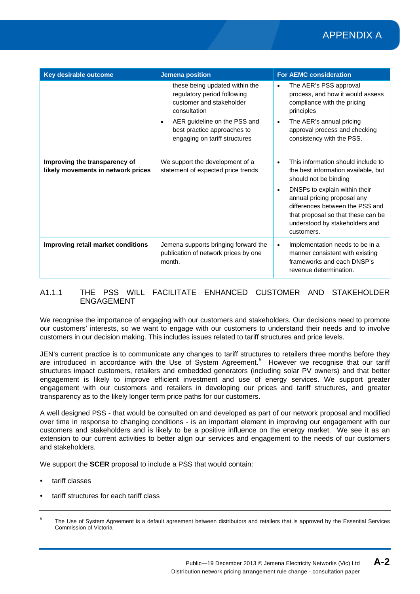# APPENDIX A

| Key desirable outcome                                               | <b>Jemena position</b>                                                                                                                                                                                                 | <b>For AEMC consideration</b>                                                                                                                                                                                                                                                                            |
|---------------------------------------------------------------------|------------------------------------------------------------------------------------------------------------------------------------------------------------------------------------------------------------------------|----------------------------------------------------------------------------------------------------------------------------------------------------------------------------------------------------------------------------------------------------------------------------------------------------------|
|                                                                     | these being updated within the<br>regulatory period following<br>customer and stakeholder<br>consultation<br>AER guideline on the PSS and<br>$\bullet$<br>best practice approaches to<br>engaging on tariff structures | The AER's PSS approval<br>$\bullet$<br>process, and how it would assess<br>compliance with the pricing<br>principles<br>The AER's annual pricing<br>$\bullet$<br>approval process and checking<br>consistency with the PSS.                                                                              |
| Improving the transparency of<br>likely movements in network prices | We support the development of a<br>statement of expected price trends                                                                                                                                                  | This information should include to<br>$\bullet$<br>the best information available, but<br>should not be binding<br>DNSPs to explain within their<br>annual pricing proposal any<br>differences between the PSS and<br>that proposal so that these can be<br>understood by stakeholders and<br>customers. |
| Improving retail market conditions                                  | Jemena supports bringing forward the<br>publication of network prices by one<br>month.                                                                                                                                 | Implementation needs to be in a<br>$\bullet$<br>manner consistent with existing<br>frameworks and each DNSP's<br>revenue determination.                                                                                                                                                                  |

### A1.1.1 THE PSS WILL FACILITATE ENHANCED CUSTOMER AND STAKEHOLDER ENGAGEMENT

We recognise the importance of engaging with our customers and stakeholders. Our decisions need to promote our customers' interests, so we want to engage with our customers to understand their needs and to involve customers in our decision making. This includes issues related to tariff structures and price levels.

JEN's current practice is to communicate any changes to tariff structures to retailers three months before they are introduced in accordance with the Use of System Agreement.<sup>[5](#page-4-2)</sup> However we recognise that our tariff structures impact customers, retailers and embedded generators (including solar PV owners) and that better engagement is likely to improve efficient investment and use of energy services. We support greater engagement with our customers and retailers in developing our prices and tariff structures, and greater transparency as to the likely longer term price paths for our customers.

A well designed PSS - that would be consulted on and developed as part of our network proposal and modified over time in response to changing conditions - is an important element in improving our engagement with our customers and stakeholders and is likely to be a positive influence on the energy market. We see it as an extension to our current activities to better align our services and engagement to the needs of our customers and stakeholders.

We support the **SCER** proposal to include a PSS that would contain:

- tariff classes
- tariff structures for each tariff class

<span id="page-9-0"></span>The Use of System Agreement is a default agreement between distributors and retailers that is approved by the Essential Services Commission of Victoria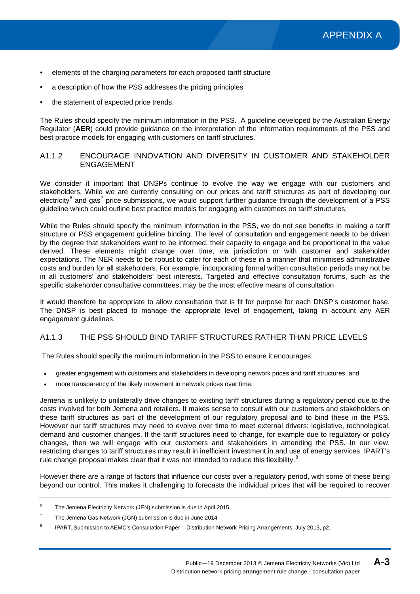- elements of the charging parameters for each proposed tariff structure
- a description of how the PSS addresses the pricing principles
- the statement of expected price trends.

The Rules should specify the minimum information in the PSS. A guideline developed by the Australian Energy Regulator (**AER**) could provide guidance on the interpretation of the information requirements of the PSS and best practice models for engaging with customers on tariff structures.

#### A1.1.2 ENCOURAGE INNOVATION AND DIVERSITY IN CUSTOMER AND STAKEHOLDER ENGAGEMENT

We consider it important that DNSPs continue to evolve the way we engage with our customers and stakeholders. While we are currently consulting on our prices and tariff structures as part of developing our electricity<sup>[6](#page-9-0)</sup> and gas<sup>[7](#page-10-0)</sup> price submissions, we would support further guidance through the development of a PSS guideline which could outline best practice models for engaging with customers on tariff structures.

While the Rules should specify the minimum information in the PSS, we do not see benefits in making a tariff structure or PSS engagement guideline binding. The level of consultation and engagement needs to be driven by the degree that stakeholders want to be informed, their capacity to engage and be proportional to the value derived. These elements might change over time, via jurisdiction or with customer and stakeholder expectations. The NER needs to be robust to cater for each of these in a manner that minimises administrative costs and burden for all stakeholders. For example, incorporating formal written consultation periods may not be in all customers' and stakeholders' best interests. Targeted and effective consultation forums, such as the specific stakeholder consultative committees, may be the most effective means of consultation

It would therefore be appropriate to allow consultation that is fit for purpose for each DNSP's customer base. The DNSP is best placed to manage the appropriate level of engagement, taking in account any AER engagement guidelines.

# A1.1.3 THE PSS SHOULD BIND TARIFF STRUCTURES RATHER THAN PRICE LEVELS

The Rules should specify the minimum information in the PSS to ensure it encourages:

- greater engagement with customers and stakeholders in developing network prices and tariff structures, and
- more transparency of the likely movement in network prices over time.

Jemena is unlikely to unilaterally drive changes to existing tariff structures during a regulatory period due to the costs involved for both Jemena and retailers. It makes sense to consult with our customers and stakeholders on these tariff structures as part of the development of our regulatory proposal and to bind these in the PSS. However our tariff structures may need to evolve over time to meet external drivers: legislative, technological, demand and customer changes. If the tariff structures need to change, for example due to regulatory or policy changes, then we will engage with our customers and stakeholders in amending the PSS. In our view, restricting changes to tariff structures may result in inefficient investment in and use of energy services. IPART's rule change proposal makes clear that it was not intended to reduce this flexibility.<sup>[8](#page-10-1)</sup>

<span id="page-10-2"></span>However there are a range of factors that influence our costs over a regulatory period, with some of these being beyond our control. This makes it challenging to forecasts the individual prices that will be required to recover

<sup>6</sup> The Jemena Electricity Network (JEN) submission is due in April 2015.

<span id="page-10-0"></span> $7$  The Jemena Gas Network (JGN) submission is due in June 2014

<span id="page-10-1"></span><sup>8</sup> IPART, Submission to AEMC's Consultation Paper – Distribution Network Pricing Arrangements, July 2013, p2.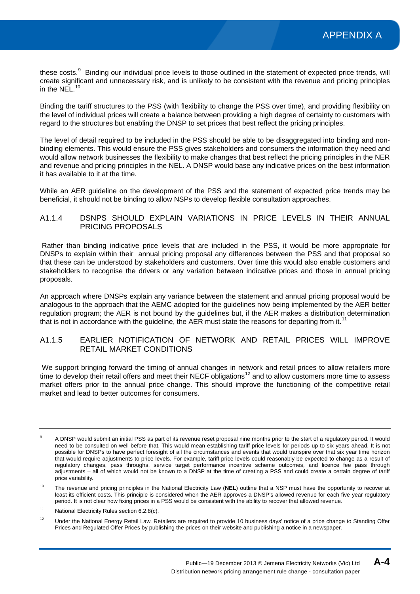these costs.<sup>[9](#page-10-2)</sup> Binding our individual price levels to those outlined in the statement of expected price trends, will create significant and unnecessary risk, and is unlikely to be consistent with the revenue and pricing principles in the NEL.<sup>[10](#page-11-0)</sup>

Binding the tariff structures to the PSS (with flexibility to change the PSS over time), and providing flexibility on the level of individual prices will create a balance between providing a high degree of certainty to customers with regard to the structures but enabling the DNSP to set prices that best reflect the pricing principles.

The level of detail required to be included in the PSS should be able to be disaggregated into binding and nonbinding elements. This would ensure the PSS gives stakeholders and consumers the information they need and would allow network businesses the flexibility to make changes that best reflect the pricing principles in the NER and revenue and pricing principles in the NEL. A DNSP would base any indicative prices on the best information it has available to it at the time.

While an AER guideline on the development of the PSS and the statement of expected price trends may be beneficial, it should not be binding to allow NSPs to develop flexible consultation approaches.

#### A1.1.4 DSNPS SHOULD EXPLAIN VARIATIONS IN PRICE LEVELS IN THEIR ANNUAL PRICING PROPOSALS

Rather than binding indicative price levels that are included in the PSS, it would be more appropriate for DNSPs to explain within their annual pricing proposal any differences between the PSS and that proposal so that these can be understood by stakeholders and customers. Over time this would also enable customers and stakeholders to recognise the drivers or any variation between indicative prices and those in annual pricing proposals.

An approach where DNSPs explain any variance between the statement and annual pricing proposal would be analogous to the approach that the AEMC adopted for the guidelines now being implemented by the AER better regulation program; the AER is not bound by the guidelines but, if the AER makes a distribution determination that is not in accordance with the quideline, the AER must state the reasons for departing from it.<sup>[11](#page-11-1)</sup>

### A1.1.5 EARLIER NOTIFICATION OF NETWORK AND RETAIL PRICES WILL IMPROVE RETAIL MARKET CONDITIONS

We support bringing forward the timing of annual changes in network and retail prices to allow retailers more time to develop their retail offers and meet their NECF obligations<sup>[12](#page-11-2)</sup> and to allow customers more time to assess market offers prior to the annual price change. This should improve the functioning of the competitive retail market and lead to better outcomes for consumers.

<sup>9</sup> A DNSP would submit an initial PSS as part of its revenue reset proposal nine months prior to the start of a regulatory period. It would need to be consulted on well before that. This would mean establishing tariff price levels for periods up to six years ahead. It is not possible for DNSPs to have perfect foresight of all the circumstances and events that would transpire over that six year time horizon that would require adjustments to price levels. For example, tariff price levels could reasonably be expected to change as a result of regulatory changes, pass throughs, service target performance incentive scheme outcomes, and licence fee pass through adjustments – all of which would not be known to a DNSP at the time of creating a PSS and could create a certain degree of tariff price variability.

<span id="page-11-3"></span><span id="page-11-0"></span><sup>&</sup>lt;sup>10</sup> The revenue and pricing principles in the National Electricity Law (NEL) outline that a NSP must have the opportunity to recover at least its efficient costs. This principle is considered when the AER approves a DNSP's allowed revenue for each five year regulatory period. It is not clear how fixing prices in a PSS would be consistent with the ability to recover that allowed revenue.

<span id="page-11-1"></span><sup>&</sup>lt;sup>11</sup> National Electricity Rules section 6.2.8(c).

<span id="page-11-2"></span><sup>&</sup>lt;sup>12</sup> Under the National Energy Retail Law, Retailers are required to provide 10 business days' notice of a price change to Standing Offer Prices and Regulated Offer Prices by publishing the prices on their website and publishing a notice in a newspaper.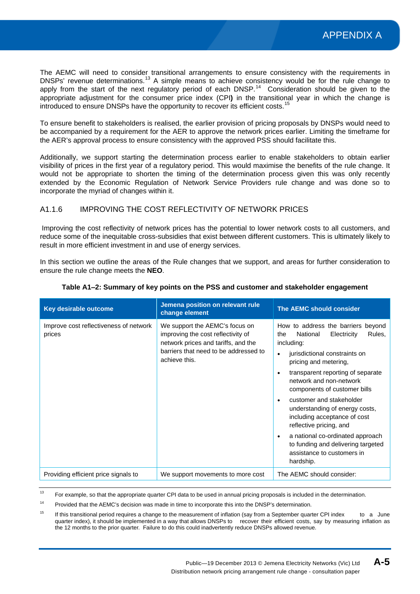The AEMC will need to consider transitional arrangements to ensure consistency with the requirements in DNSPs' revenue determinations.<sup>[13](#page-11-3)</sup> A simple means to achieve consistency would be for the rule change to apply from the start of the next regulatory period of each DNSP.<sup>[14](#page-12-0)</sup> Consideration should be given to the appropriate adjustment for the consumer price index (CPI**)** in the transitional year in which the change is introduced to ensure DNSPs have the opportunity to recover its efficient costs.<sup>[15](#page-12-1)</sup>

To ensure benefit to stakeholders is realised, the earlier provision of pricing proposals by DNSPs would need to be accompanied by a requirement for the AER to approve the network prices earlier. Limiting the timeframe for the AER's approval process to ensure consistency with the approved PSS should facilitate this.

Additionally, we support starting the determination process earlier to enable stakeholders to obtain earlier visibility of prices in the first year of a regulatory period. This would maximise the benefits of the rule change. It would not be appropriate to shorten the timing of the determination process given this was only recently extended by the Economic Regulation of Network Service Providers rule change and was done so to incorporate the myriad of changes within it.

## A1.1.6 IMPROVING THE COST REFLECTIVITY OF NETWORK PRICES

Improving the cost reflectivity of network prices has the potential to lower network costs to all customers, and reduce some of the inequitable cross-subsidies that exist between different customers. This is ultimately likely to result in more efficient investment in and use of energy services.

In this section we outline the areas of the Rule changes that we support, and areas for further consideration to ensure the rule change meets the **NEO**.

| Key desirable outcome                            | Jemena position on relevant rule<br>change element                                                                                                                    | <b>The AEMC should consider</b>                                                                                                                                                                                                                                                                                                                                                                                                                                                                      |
|--------------------------------------------------|-----------------------------------------------------------------------------------------------------------------------------------------------------------------------|------------------------------------------------------------------------------------------------------------------------------------------------------------------------------------------------------------------------------------------------------------------------------------------------------------------------------------------------------------------------------------------------------------------------------------------------------------------------------------------------------|
| Improve cost reflectiveness of network<br>prices | We support the AEMC's focus on<br>improving the cost reflectivity of<br>network prices and tariffs, and the<br>barriers that need to be addressed to<br>achieve this. | How to address the barriers beyond<br>Rules,<br>National<br>Electricity<br>the<br>including:<br>jurisdictional constraints on<br>pricing and metering,<br>transparent reporting of separate<br>network and non-network<br>components of customer bills<br>customer and stakeholder<br>understanding of energy costs,<br>including acceptance of cost<br>reflective pricing, and<br>a national co-ordinated approach<br>to funding and delivering targeted<br>assistance to customers in<br>hardship. |
| Providing efficient price signals to             | We support movements to more cost                                                                                                                                     | The AEMC should consider:                                                                                                                                                                                                                                                                                                                                                                                                                                                                            |

#### **Table A1‒2: Summary of key points on the PSS and customer and stakeholder engagement**

<span id="page-12-2"></span><sup>13</sup> For example, so that the appropriate quarter CPI data to be used in annual pricing proposals is included in the determination.

<span id="page-12-0"></span><sup>14</sup> Provided that the AEMC's decision was made in time to incorporate this into the DNSP's determination.

<span id="page-12-1"></span><sup>15</sup> If this transitional period requires a change to the measurement of inflation (say from a September quarter CPI index to a June quarter index), it should be implemented in a way that allows DNSPs to recover their efficient costs, say by measuring inflation as the 12 months to the prior quarter. Failure to do this could inadvertently reduce DNSPs allowed revenue.

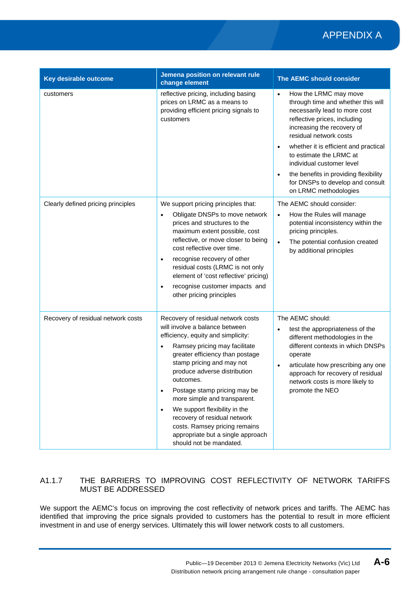# APPENDIX A

| Key desirable outcome              | Jemena position on relevant rule<br>change element                                                                                                                                                                                                                                                                                                                                                                                                                                                                   | The AEMC should consider                                                                                                                                                                                                                                                                                                                                                                                                           |
|------------------------------------|----------------------------------------------------------------------------------------------------------------------------------------------------------------------------------------------------------------------------------------------------------------------------------------------------------------------------------------------------------------------------------------------------------------------------------------------------------------------------------------------------------------------|------------------------------------------------------------------------------------------------------------------------------------------------------------------------------------------------------------------------------------------------------------------------------------------------------------------------------------------------------------------------------------------------------------------------------------|
| customers                          | reflective pricing, including basing<br>prices on LRMC as a means to<br>providing efficient pricing signals to<br>customers                                                                                                                                                                                                                                                                                                                                                                                          | How the LRMC may move<br>$\bullet$<br>through time and whether this will<br>necessarily lead to more cost<br>reflective prices, including<br>increasing the recovery of<br>residual network costs<br>whether it is efficient and practical<br>$\bullet$<br>to estimate the LRMC at<br>individual customer level<br>the benefits in providing flexibility<br>$\bullet$<br>for DNSPs to develop and consult<br>on LRMC methodologies |
| Clearly defined pricing principles | We support pricing principles that:<br>Obligate DNSPs to move network<br>$\bullet$<br>prices and structures to the<br>maximum extent possible, cost<br>reflective, or move closer to being<br>cost reflective over time.<br>recognise recovery of other<br>$\bullet$<br>residual costs (LRMC is not only<br>element of 'cost reflective' pricing)<br>recognise customer impacts and<br>$\bullet$<br>other pricing principles                                                                                         | The AEMC should consider:<br>How the Rules will manage<br>$\bullet$<br>potential inconsistency within the<br>pricing principles.<br>The potential confusion created<br>$\bullet$<br>by additional principles                                                                                                                                                                                                                       |
| Recovery of residual network costs | Recovery of residual network costs<br>will involve a balance between<br>efficiency, equity and simplicity:<br>Ramsey pricing may facilitate<br>$\bullet$<br>greater efficiency than postage<br>stamp pricing and may not<br>produce adverse distribution<br>outcomes.<br>Postage stamp pricing may be<br>more simple and transparent.<br>We support flexibility in the<br>$\bullet$<br>recovery of residual network<br>costs. Ramsey pricing remains<br>appropriate but a single approach<br>should not be mandated. | The AEMC should:<br>test the appropriateness of the<br>$\bullet$<br>different methodologies in the<br>different contexts in which DNSPs<br>operate<br>articulate how prescribing any one<br>$\bullet$<br>approach for recovery of residual<br>network costs is more likely to<br>promote the NEO                                                                                                                                   |

## A1.1.7 THE BARRIERS TO IMPROVING COST REFLECTIVITY OF NETWORK TARIFFS MUST BE ADDRESSED

We support the AEMC's focus on improving the cost reflectivity of network prices and tariffs. The AEMC has identified that improving the price signals provided to customers has the potential to result in more efficient investment in and use of energy services. Ultimately this will lower network costs to all customers.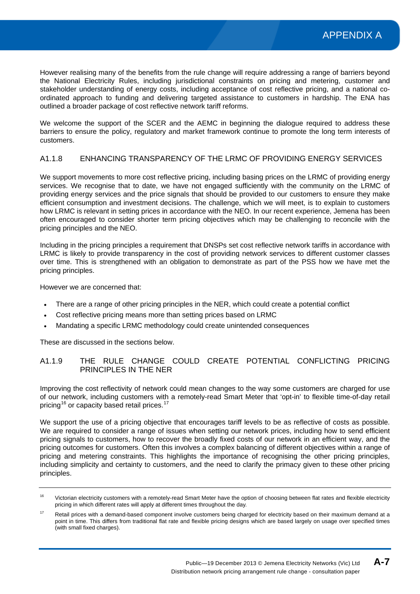However realising many of the benefits from the rule change will require addressing a range of barriers beyond the National Electricity Rules, including jurisdictional constraints on pricing and metering, customer and stakeholder understanding of energy costs, including acceptance of cost reflective pricing, and a national coordinated approach to funding and delivering targeted assistance to customers in hardship. The ENA has outlined a broader package of cost reflective network tariff reforms.

We welcome the support of the SCER and the AEMC in beginning the dialogue required to address these barriers to ensure the policy, regulatory and market framework continue to promote the long term interests of customers.

#### A1.1.8 ENHANCING TRANSPARENCY OF THE LRMC OF PROVIDING ENERGY SERVICES

We support movements to more cost reflective pricing, including basing prices on the LRMC of providing energy services. We recognise that to date, we have not engaged sufficiently with the community on the LRMC of providing energy services and the price signals that should be provided to our customers to ensure they make efficient consumption and investment decisions. The challenge, which we will meet, is to explain to customers how LRMC is relevant in setting prices in accordance with the NEO. In our recent experience, Jemena has been often encouraged to consider shorter term pricing objectives which may be challenging to reconcile with the pricing principles and the NEO.

Including in the pricing principles a requirement that DNSPs set cost reflective network tariffs in accordance with LRMC is likely to provide transparency in the cost of providing network services to different customer classes over time. This is strengthened with an obligation to demonstrate as part of the PSS how we have met the pricing principles.

However we are concerned that:

- There are a range of other pricing principles in the NER, which could create a potential conflict
- Cost reflective pricing means more than setting prices based on LRMC
- Mandating a specific LRMC methodology could create unintended consequences

These are discussed in the sections below.

## A1.1.9 THE RULE CHANGE COULD CREATE POTENTIAL CONFLICTING PRICING PRINCIPLES IN THE NER

Improving the cost reflectivity of network could mean changes to the way some customers are charged for use of our network, including customers with a remotely-read Smart Meter that 'opt-in' to flexible time-of-day retail pricing<sup>[16](#page-12-2)</sup> or capacity based retail prices.<sup>[17](#page-14-0)</sup>

We support the use of a pricing objective that encourages tariff levels to be as reflective of costs as possible. We are required to consider a range of issues when setting our network prices, including how to send efficient pricing signals to customers, how to recover the broadly fixed costs of our network in an efficient way, and the pricing outcomes for customers. Often this involves a complex balancing of different objectives within a range of pricing and metering constraints. This highlights the importance of recognising the other pricing principles, including simplicity and certainty to customers, and the need to clarify the primacy given to these other pricing principles.

<sup>&</sup>lt;sup>16</sup> Victorian electricity customers with a remotely-read Smart Meter have the option of choosing between flat rates and flexible electricity pricing in which different rates will apply at different times throughout the day.

<span id="page-14-0"></span><sup>&</sup>lt;sup>17</sup> Retail prices with a demand-based component involve customers being charged for electricity based on their maximum demand at a point in time. This differs from traditional flat rate and flexible pricing designs which are based largely on usage over specified times (with small fixed charges).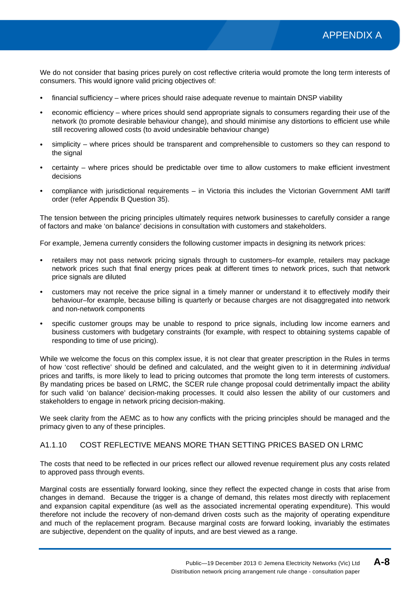We do not consider that basing prices purely on cost reflective criteria would promote the long term interests of consumers. This would ignore valid pricing objectives of:

- financial sufficiency where prices should raise adequate revenue to maintain DNSP viability
- economic efficiency where prices should send appropriate signals to consumers regarding their use of the network (to promote desirable behaviour change), and should minimise any distortions to efficient use while still recovering allowed costs (to avoid undesirable behaviour change)
- simplicity where prices should be transparent and comprehensible to customers so they can respond to the signal
- certainty where prices should be predictable over time to allow customers to make efficient investment decisions
- compliance with jurisdictional requirements in Victoria this includes the Victorian Government AMI tariff order (refer Appendix B Question 35).

The tension between the pricing principles ultimately requires network businesses to carefully consider a range of factors and make 'on balance' decisions in consultation with customers and stakeholders.

For example, Jemena currently considers the following customer impacts in designing its network prices:

- retailers may not pass network pricing signals through to customers–for example, retailers may package network prices such that final energy prices peak at different times to network prices, such that network price signals are diluted
- customers may not receive the price signal in a timely manner or understand it to effectively modify their behaviour–for example, because billing is quarterly or because charges are not disaggregated into network and non-network components
- specific customer groups may be unable to respond to price signals, including low income earners and business customers with budgetary constraints (for example, with respect to obtaining systems capable of responding to time of use pricing).

While we welcome the focus on this complex issue, it is not clear that greater prescription in the Rules in terms of how 'cost reflective' should be defined and calculated, and the weight given to it in determining *individual* prices and tariffs, is more likely to lead to pricing outcomes that promote the long term interests of customers. By mandating prices be based on LRMC, the SCER rule change proposal could detrimentally impact the ability for such valid 'on balance' decision-making processes. It could also lessen the ability of our customers and stakeholders to engage in network pricing decision-making.

We seek clarity from the AEMC as to how any conflicts with the pricing principles should be managed and the primacy given to any of these principles.

## A1.1.10 COST REFLECTIVE MEANS MORE THAN SETTING PRICES BASED ON LRMC

The costs that need to be reflected in our prices reflect our allowed revenue requirement plus any costs related to approved pass through events.

Marginal costs are essentially forward looking, since they reflect the expected change in costs that arise from changes in demand. Because the trigger is a change of demand, this relates most directly with replacement and expansion capital expenditure (as well as the associated incremental operating expenditure). This would therefore not include the recovery of non-demand driven costs such as the majority of operating expenditure and much of the replacement program. Because marginal costs are forward looking, invariably the estimates are subjective, dependent on the quality of inputs, and are best viewed as a range.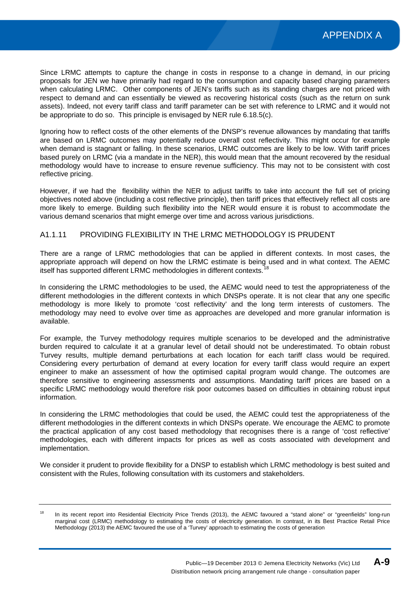Since LRMC attempts to capture the change in costs in response to a change in demand, in our pricing proposals for JEN we have primarily had regard to the consumption and capacity based charging parameters when calculating LRMC. Other components of JEN's tariffs such as its standing charges are not priced with respect to demand and can essentially be viewed as recovering historical costs (such as the return on sunk assets). Indeed, not every tariff class and tariff parameter can be set with reference to LRMC and it would not be appropriate to do so. This principle is envisaged by NER rule 6.18.5(c).

Ignoring how to reflect costs of the other elements of the DNSP's revenue allowances by mandating that tariffs are based on LRMC outcomes may potentially reduce overall cost reflectivity. This might occur for example when demand is stagnant or falling. In these scenarios, LRMC outcomes are likely to be low. With tariff prices based purely on LRMC (via a mandate in the NER), this would mean that the amount recovered by the residual methodology would have to increase to ensure revenue sufficiency. This may not to be consistent with cost reflective pricing.

However, if we had the flexibility within the NER to adjust tariffs to take into account the full set of pricing objectives noted above (including a cost reflective principle), then tariff prices that effectively reflect all costs are more likely to emerge. Building such flexibility into the NER would ensure it is robust to accommodate the various demand scenarios that might emerge over time and across various jurisdictions.

#### A1.1.11 PROVIDING FLEXIBILITY IN THE LRMC METHODOLOGY IS PRUDENT

There are a range of LRMC methodologies that can be applied in different contexts. In most cases, the appropriate approach will depend on how the LRMC estimate is being used and in what context. The AEMC itself has supported different LRMC methodologies in different contexts.

In considering the LRMC methodologies to be used, the AEMC would need to test the appropriateness of the different methodologies in the different contexts in which DNSPs operate. It is not clear that any one specific methodology is more likely to promote 'cost reflectivity' and the long term interests of customers. The methodology may need to evolve over time as approaches are developed and more granular information is available.

For example, the Turvey methodology requires multiple scenarios to be developed and the administrative burden required to calculate it at a granular level of detail should not be underestimated. To obtain robust Turvey results, multiple demand perturbations at each location for each tariff class would be required. Considering every perturbation of demand at every location for every tariff class would require an expert engineer to make an assessment of how the optimised capital program would change. The outcomes are therefore sensitive to engineering assessments and assumptions. Mandating tariff prices are based on a specific LRMC methodology would therefore risk poor outcomes based on difficulties in obtaining robust input information.

In considering the LRMC methodologies that could be used, the AEMC could test the appropriateness of the different methodologies in the different contexts in which DNSPs operate. We encourage the AEMC to promote the practical application of any cost based methodology that recognises there is a range of 'cost reflective' methodologies, each with different impacts for prices as well as costs associated with development and implementation.

We consider it prudent to provide flexibility for a DNSP to establish which LRMC methodology is best suited and consistent with the Rules, following consultation with its customers and stakeholders.

<sup>&</sup>lt;sup>18</sup> In its recent report into Residential Electricity Price Trends (2013), the AEMC favoured a "stand alone" or "greenfields" long-run marginal cost (LRMC) methodology to estimating the costs of electricity generation. In contrast, in its Best Practice Retail Price Methodology (2013) the AEMC favoured the use of a 'Turvey' approach to estimating the costs of generation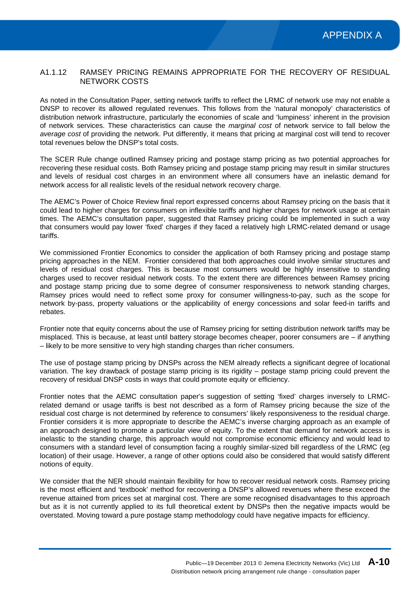#### A1.1.12 RAMSEY PRICING REMAINS APPROPRIATE FOR THE RECOVERY OF RESIDUAL NETWORK COSTS

As noted in the Consultation Paper, setting network tariffs to reflect the LRMC of network use may not enable a DNSP to recover its allowed regulated revenues. This follows from the 'natural monopoly' characteristics of distribution network infrastructure, particularly the economies of scale and 'lumpiness' inherent in the provision of network services. These characteristics can cause the *marginal cost* of network service to fall below the *average cost* of providing the network. Put differently, it means that pricing at marginal cost will tend to recover total revenues below the DNSP's total costs.

The SCER Rule change outlined Ramsey pricing and postage stamp pricing as two potential approaches for recovering these residual costs. Both Ramsey pricing and postage stamp pricing may result in similar structures and levels of residual cost charges in an environment where all consumers have an inelastic demand for network access for all realistic levels of the residual network recovery charge.

The AEMC's Power of Choice Review final report expressed concerns about Ramsey pricing on the basis that it could lead to higher charges for consumers on inflexible tariffs and higher charges for network usage at certain times. The AEMC's consultation paper, suggested that Ramsey pricing could be implemented in such a way that consumers would pay lower 'fixed' charges if they faced a relatively high LRMC-related demand or usage tariffs.

We commissioned Frontier Economics to consider the application of both Ramsey pricing and postage stamp pricing approaches in the NEM. Frontier considered that both approaches could involve similar structures and levels of residual cost charges. This is because most consumers would be highly insensitive to standing charges used to recover residual network costs. To the extent there are differences between Ramsey pricing and postage stamp pricing due to some degree of consumer responsiveness to network standing charges, Ramsey prices would need to reflect some proxy for consumer willingness-to-pay, such as the scope for network by-pass, property valuations or the applicability of energy concessions and solar feed-in tariffs and rebates.

Frontier note that equity concerns about the use of Ramsey pricing for setting distribution network tariffs may be misplaced. This is because, at least until battery storage becomes cheaper, poorer consumers are – if anything – likely to be more sensitive to very high standing charges than richer consumers.

The use of postage stamp pricing by DNSPs across the NEM already reflects a significant degree of locational variation. The key drawback of postage stamp pricing is its rigidity – postage stamp pricing could prevent the recovery of residual DNSP costs in ways that could promote equity or efficiency.

Frontier notes that the AEMC consultation paper's suggestion of setting 'fixed' charges inversely to LRMCrelated demand or usage tariffs is best not described as a form of Ramsey pricing because the size of the residual cost charge is not determined by reference to consumers' likely responsiveness to the residual charge. Frontier considers it is more appropriate to describe the AEMC's inverse charging approach as an example of an approach designed to promote a particular view of equity. To the extent that demand for network access is inelastic to the standing charge, this approach would not compromise economic efficiency and would lead to consumers with a standard level of consumption facing a roughly similar-sized bill regardless of the LRMC (eg location) of their usage. However, a range of other options could also be considered that would satisfy different notions of equity.

We consider that the NER should maintain flexibility for how to recover residual network costs. Ramsey pricing is the most efficient and 'textbook' method for recovering a DNSP's allowed revenues where these exceed the revenue attained from prices set at marginal cost. There are some recognised disadvantages to this approach but as it is not currently applied to its full theoretical extent by DNSPs then the negative impacts would be overstated. Moving toward a pure postage stamp methodology could have negative impacts for efficiency.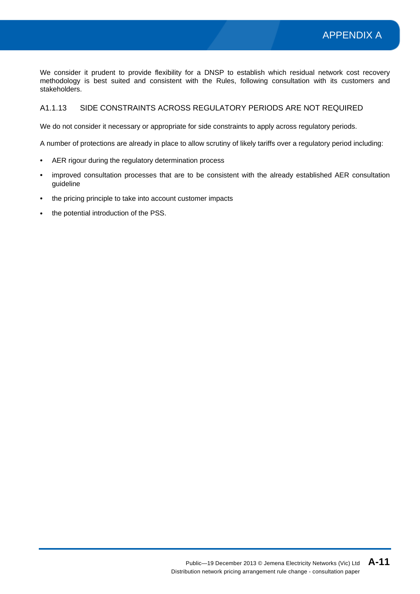We consider it prudent to provide flexibility for a DNSP to establish which residual network cost recovery methodology is best suited and consistent with the Rules, following consultation with its customers and stakeholders.

### A1.1.13 SIDE CONSTRAINTS ACROSS REGULATORY PERIODS ARE NOT REQUIRED

We do not consider it necessary or appropriate for side constraints to apply across regulatory periods.

A number of protections are already in place to allow scrutiny of likely tariffs over a regulatory period including:

- AER rigour during the regulatory determination process
- improved consultation processes that are to be consistent with the already established AER consultation guideline
- the pricing principle to take into account customer impacts
- the potential introduction of the PSS.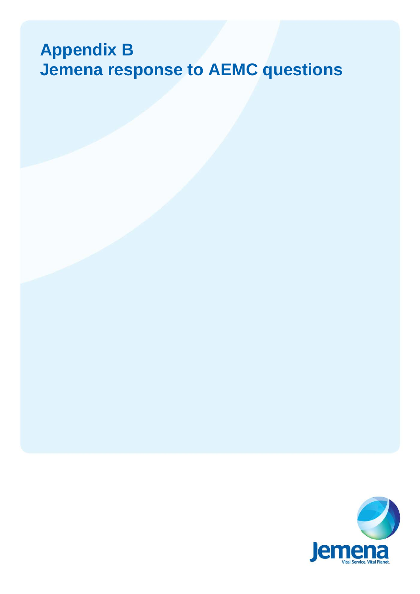# **Appendix B Jemena response to AEMC questions**

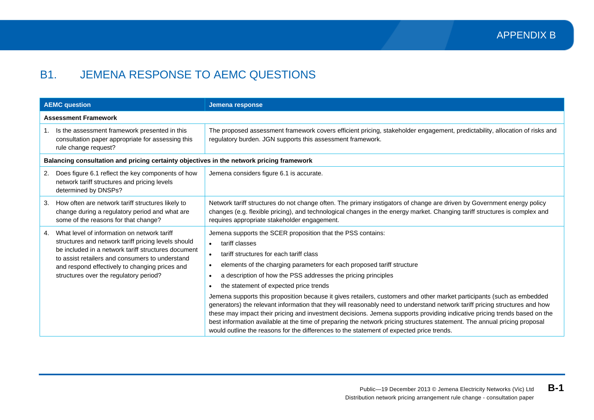# B1. JEMENA RESPONSE TO AEMC QUESTIONS

<span id="page-20-0"></span>

|    | <b>AEMC question</b>                                                                                                                                                                                                                                                                                     | Jemena response                                                                                                                                                                                                                                                                                                                                                                                                                                                                                                                                                                                                                                                                                                                                                                                                                                                                                                              |  |
|----|----------------------------------------------------------------------------------------------------------------------------------------------------------------------------------------------------------------------------------------------------------------------------------------------------------|------------------------------------------------------------------------------------------------------------------------------------------------------------------------------------------------------------------------------------------------------------------------------------------------------------------------------------------------------------------------------------------------------------------------------------------------------------------------------------------------------------------------------------------------------------------------------------------------------------------------------------------------------------------------------------------------------------------------------------------------------------------------------------------------------------------------------------------------------------------------------------------------------------------------------|--|
|    | <b>Assessment Framework</b>                                                                                                                                                                                                                                                                              |                                                                                                                                                                                                                                                                                                                                                                                                                                                                                                                                                                                                                                                                                                                                                                                                                                                                                                                              |  |
|    | 1. Is the assessment framework presented in this<br>consultation paper appropriate for assessing this<br>rule change request?                                                                                                                                                                            | The proposed assessment framework covers efficient pricing, stakeholder engagement, predictability, allocation of risks and<br>regulatory burden. JGN supports this assessment framework.                                                                                                                                                                                                                                                                                                                                                                                                                                                                                                                                                                                                                                                                                                                                    |  |
|    | Balancing consultation and pricing certainty objectives in the network pricing framework                                                                                                                                                                                                                 |                                                                                                                                                                                                                                                                                                                                                                                                                                                                                                                                                                                                                                                                                                                                                                                                                                                                                                                              |  |
|    | 2. Does figure 6.1 reflect the key components of how<br>network tariff structures and pricing levels<br>determined by DNSPs?                                                                                                                                                                             | Jemena considers figure 6.1 is accurate.                                                                                                                                                                                                                                                                                                                                                                                                                                                                                                                                                                                                                                                                                                                                                                                                                                                                                     |  |
| 3. | How often are network tariff structures likely to<br>change during a regulatory period and what are<br>some of the reasons for that change?                                                                                                                                                              | Network tariff structures do not change often. The primary instigators of change are driven by Government energy policy<br>changes (e.g. flexible pricing), and technological changes in the energy market. Changing tariff structures is complex and<br>requires appropriate stakeholder engagement.                                                                                                                                                                                                                                                                                                                                                                                                                                                                                                                                                                                                                        |  |
| 4. | What level of information on network tariff<br>structures and network tariff pricing levels should<br>be included in a network tariff structures document<br>to assist retailers and consumers to understand<br>and respond effectively to changing prices and<br>structures over the regulatory period? | Jemena supports the SCER proposition that the PSS contains:<br>tariff classes<br>tariff structures for each tariff class<br>elements of the charging parameters for each proposed tariff structure<br>a description of how the PSS addresses the pricing principles<br>the statement of expected price trends<br>Jemena supports this proposition because it gives retailers, customers and other market participants (such as embedded<br>generators) the relevant information that they will reasonably need to understand network tariff pricing structures and how<br>these may impact their pricing and investment decisions. Jemena supports providing indicative pricing trends based on the<br>best information available at the time of preparing the network pricing structures statement. The annual pricing proposal<br>would outline the reasons for the differences to the statement of expected price trends. |  |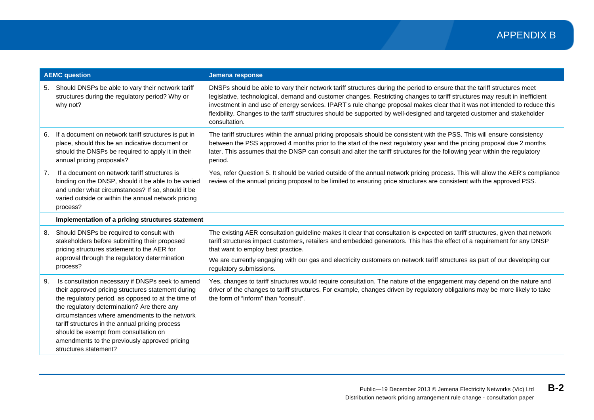|    | <b>AEMC question</b>                                                                                                                                                                                                                                                                                                                                                                                                                | Jemena response                                                                                                                                                                                                                                                                                                                                                                                                                                                                                                                    |
|----|-------------------------------------------------------------------------------------------------------------------------------------------------------------------------------------------------------------------------------------------------------------------------------------------------------------------------------------------------------------------------------------------------------------------------------------|------------------------------------------------------------------------------------------------------------------------------------------------------------------------------------------------------------------------------------------------------------------------------------------------------------------------------------------------------------------------------------------------------------------------------------------------------------------------------------------------------------------------------------|
|    | 5. Should DNSPs be able to vary their network tariff<br>structures during the regulatory period? Why or<br>why not?                                                                                                                                                                                                                                                                                                                 | DNSPs should be able to vary their network tariff structures during the period to ensure that the tariff structures meet<br>legislative, technological, demand and customer changes. Restricting changes to tariff structures may result in inefficient<br>investment in and use of energy services. IPART's rule change proposal makes clear that it was not intended to reduce this<br>flexibility. Changes to the tariff structures should be supported by well-designed and targeted customer and stakeholder<br>consultation. |
| 6. | If a document on network tariff structures is put in<br>place, should this be an indicative document or<br>should the DNSPs be required to apply it in their<br>annual pricing proposals?                                                                                                                                                                                                                                           | The tariff structures within the annual pricing proposals should be consistent with the PSS. This will ensure consistency<br>between the PSS approved 4 months prior to the start of the next regulatory year and the pricing proposal due 2 months<br>later. This assumes that the DNSP can consult and alter the tariff structures for the following year within the regulatory<br>period.                                                                                                                                       |
| 7. | If a document on network tariff structures is<br>binding on the DNSP, should it be able to be varied<br>and under what circumstances? If so, should it be<br>varied outside or within the annual network pricing<br>process?                                                                                                                                                                                                        | Yes, refer Question 5. It should be varied outside of the annual network pricing process. This will allow the AER's compliance<br>review of the annual pricing proposal to be limited to ensuring price structures are consistent with the approved PSS.                                                                                                                                                                                                                                                                           |
|    | Implementation of a pricing structures statement                                                                                                                                                                                                                                                                                                                                                                                    |                                                                                                                                                                                                                                                                                                                                                                                                                                                                                                                                    |
| 8. | Should DNSPs be required to consult with<br>stakeholders before submitting their proposed<br>pricing structures statement to the AER for<br>approval through the regulatory determination<br>process?                                                                                                                                                                                                                               | The existing AER consultation guideline makes it clear that consultation is expected on tariff structures, given that network<br>tariff structures impact customers, retailers and embedded generators. This has the effect of a requirement for any DNSP<br>that want to employ best practice.<br>We are currently engaging with our gas and electricity customers on network tariff structures as part of our developing our<br>regulatory submissions.                                                                          |
| 9. | Is consultation necessary if DNSPs seek to amend<br>their approved pricing structures statement during<br>the regulatory period, as opposed to at the time of<br>the regulatory determination? Are there any<br>circumstances where amendments to the network<br>tariff structures in the annual pricing process<br>should be exempt from consultation on<br>amendments to the previously approved pricing<br>structures statement? | Yes, changes to tariff structures would require consultation. The nature of the engagement may depend on the nature and<br>driver of the changes to tariff structures. For example, changes driven by regulatory obligations may be more likely to take<br>the form of "inform" than "consult".                                                                                                                                                                                                                                    |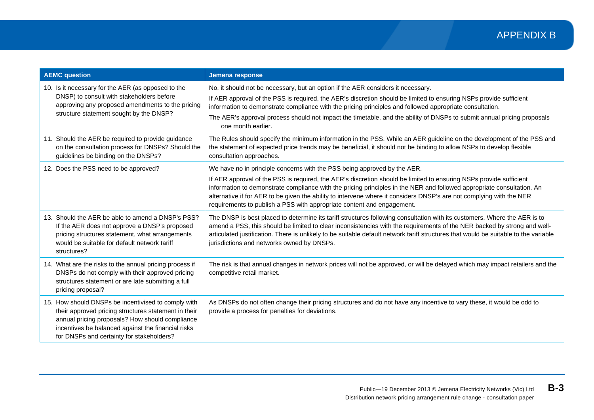| <b>AEMC question</b>                                                                                                                                                                                                                                              | Jemena response                                                                                                                                                                                                                                                                                                                                                                                                                                                                                                            |
|-------------------------------------------------------------------------------------------------------------------------------------------------------------------------------------------------------------------------------------------------------------------|----------------------------------------------------------------------------------------------------------------------------------------------------------------------------------------------------------------------------------------------------------------------------------------------------------------------------------------------------------------------------------------------------------------------------------------------------------------------------------------------------------------------------|
| 10. Is it necessary for the AER (as opposed to the<br>DNSP) to consult with stakeholders before<br>approving any proposed amendments to the pricing<br>structure statement sought by the DNSP?                                                                    | No, it should not be necessary, but an option if the AER considers it necessary.<br>If AER approval of the PSS is required, the AER's discretion should be limited to ensuring NSPs provide sufficient<br>information to demonstrate compliance with the pricing principles and followed appropriate consultation.<br>The AER's approval process should not impact the timetable, and the ability of DNSPs to submit annual pricing proposals<br>one month earlier.                                                        |
| 11. Should the AER be required to provide guidance<br>on the consultation process for DNSPs? Should the<br>guidelines be binding on the DNSPs?                                                                                                                    | The Rules should specify the minimum information in the PSS. While an AER guideline on the development of the PSS and<br>the statement of expected price trends may be beneficial, it should not be binding to allow NSPs to develop flexible<br>consultation approaches.                                                                                                                                                                                                                                                  |
| 12. Does the PSS need to be approved?                                                                                                                                                                                                                             | We have no in principle concerns with the PSS being approved by the AER.<br>If AER approval of the PSS is required, the AER's discretion should be limited to ensuring NSPs provide sufficient<br>information to demonstrate compliance with the pricing principles in the NER and followed appropriate consultation. An<br>alternative if for AER to be given the ability to intervene where it considers DNSP's are not complying with the NER<br>requirements to publish a PSS with appropriate content and engagement. |
| 13. Should the AER be able to amend a DNSP's PSS?<br>If the AER does not approve a DNSP's proposed<br>pricing structures statement, what arrangements<br>would be suitable for default network tariff<br>structures?                                              | The DNSP is best placed to determine its tariff structures following consultation with its customers. Where the AER is to<br>amend a PSS, this should be limited to clear inconsistencies with the requirements of the NER backed by strong and well-<br>articulated justification. There is unlikely to be suitable default network tariff structures that would be suitable to the variable<br>jurisdictions and networks owned by DNSPs.                                                                                |
| 14. What are the risks to the annual pricing process if<br>DNSPs do not comply with their approved pricing<br>structures statement or are late submitting a full<br>pricing proposal?                                                                             | The risk is that annual changes in network prices will not be approved, or will be delayed which may impact retailers and the<br>competitive retail market.                                                                                                                                                                                                                                                                                                                                                                |
| 15. How should DNSPs be incentivised to comply with<br>their approved pricing structures statement in their<br>annual pricing proposals? How should compliance<br>incentives be balanced against the financial risks<br>for DNSPs and certainty for stakeholders? | As DNSPs do not often change their pricing structures and do not have any incentive to vary these, it would be odd to<br>provide a process for penalties for deviations.                                                                                                                                                                                                                                                                                                                                                   |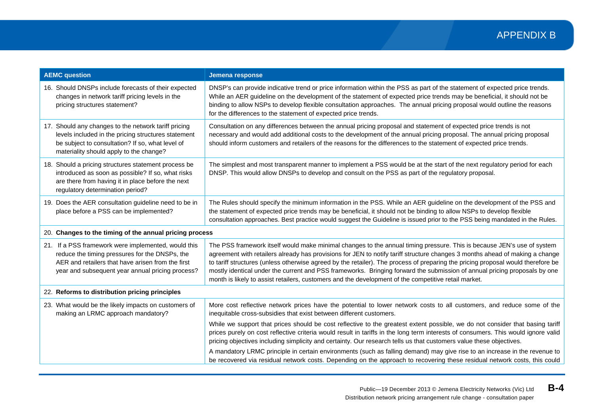| <b>AEMC question</b>                                                                                                                                                                                           | Jemena response                                                                                                                                                                                                                                                                                                                                                                                                                                                                                                                                                                                                                 |
|----------------------------------------------------------------------------------------------------------------------------------------------------------------------------------------------------------------|---------------------------------------------------------------------------------------------------------------------------------------------------------------------------------------------------------------------------------------------------------------------------------------------------------------------------------------------------------------------------------------------------------------------------------------------------------------------------------------------------------------------------------------------------------------------------------------------------------------------------------|
| 16. Should DNSPs include forecasts of their expected<br>changes in network tariff pricing levels in the<br>pricing structures statement?                                                                       | DNSP's can provide indicative trend or price information within the PSS as part of the statement of expected price trends.<br>While an AER guideline on the development of the statement of expected price trends may be beneficial, it should not be<br>binding to allow NSPs to develop flexible consultation approaches. The annual pricing proposal would outline the reasons<br>for the differences to the statement of expected price trends.                                                                                                                                                                             |
| 17. Should any changes to the network tariff pricing<br>levels included in the pricing structures statement<br>be subject to consultation? If so, what level of<br>materiality should apply to the change?     | Consultation on any differences between the annual pricing proposal and statement of expected price trends is not<br>necessary and would add additional costs to the development of the annual pricing proposal. The annual pricing proposal<br>should inform customers and retailers of the reasons for the differences to the statement of expected price trends.                                                                                                                                                                                                                                                             |
| 18. Should a pricing structures statement process be<br>introduced as soon as possible? If so, what risks<br>are there from having it in place before the next<br>regulatory determination period?             | The simplest and most transparent manner to implement a PSS would be at the start of the next regulatory period for each<br>DNSP. This would allow DNSPs to develop and consult on the PSS as part of the regulatory proposal.                                                                                                                                                                                                                                                                                                                                                                                                  |
| 19. Does the AER consultation guideline need to be in<br>place before a PSS can be implemented?                                                                                                                | The Rules should specify the minimum information in the PSS. While an AER guideline on the development of the PSS and<br>the statement of expected price trends may be beneficial, it should not be binding to allow NSPs to develop flexible<br>consultation approaches. Best practice would suggest the Guideline is issued prior to the PSS being mandated in the Rules.                                                                                                                                                                                                                                                     |
| 20. Changes to the timing of the annual pricing process                                                                                                                                                        |                                                                                                                                                                                                                                                                                                                                                                                                                                                                                                                                                                                                                                 |
| 21. If a PSS framework were implemented, would this<br>reduce the timing pressures for the DNSPs, the<br>AER and retailers that have arisen from the first<br>year and subsequent year annual pricing process? | The PSS framework itself would make minimal changes to the annual timing pressure. This is because JEN's use of system<br>agreement with retailers already has provisions for JEN to notify tariff structure changes 3 months ahead of making a change<br>to tariff structures (unless otherwise agreed by the retailer). The process of preparing the pricing proposal would therefore be<br>mostly identical under the current and PSS frameworks. Bringing forward the submission of annual pricing proposals by one<br>month is likely to assist retailers, customers and the development of the competitive retail market. |
| 22. Reforms to distribution pricing principles                                                                                                                                                                 |                                                                                                                                                                                                                                                                                                                                                                                                                                                                                                                                                                                                                                 |
| 23. What would be the likely impacts on customers of<br>making an LRMC approach mandatory?                                                                                                                     | More cost reflective network prices have the potential to lower network costs to all customers, and reduce some of the<br>inequitable cross-subsidies that exist between different customers.                                                                                                                                                                                                                                                                                                                                                                                                                                   |
|                                                                                                                                                                                                                | While we support that prices should be cost reflective to the greatest extent possible, we do not consider that basing tariff<br>prices purely on cost reflective criteria would result in tariffs in the long term interests of consumers. This would ignore valid<br>pricing objectives including simplicity and certainty. Our research tells us that customers value these objectives.                                                                                                                                                                                                                                      |
|                                                                                                                                                                                                                | A mandatory LRMC principle in certain environments (such as falling demand) may give rise to an increase in the revenue to<br>be recovered via residual network costs. Depending on the approach to recovering these residual network costs, this could                                                                                                                                                                                                                                                                                                                                                                         |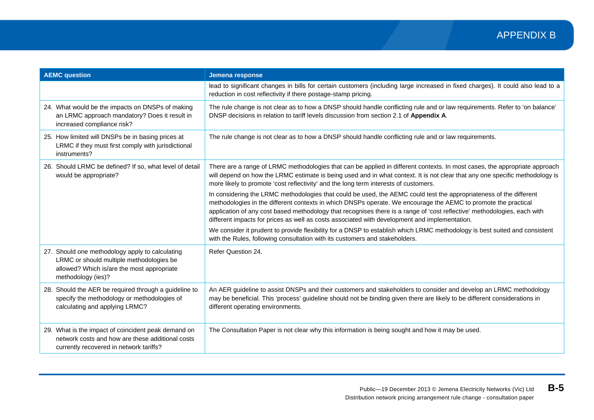| <b>AEMC question</b>                                                                                                                                            | Jemena response                                                                                                                                                                                                                                                                                                                                                                                                                                                   |
|-----------------------------------------------------------------------------------------------------------------------------------------------------------------|-------------------------------------------------------------------------------------------------------------------------------------------------------------------------------------------------------------------------------------------------------------------------------------------------------------------------------------------------------------------------------------------------------------------------------------------------------------------|
|                                                                                                                                                                 | lead to significant changes in bills for certain customers (including large increased in fixed charges). It could also lead to a<br>reduction in cost reflectivity if there postage-stamp pricing.                                                                                                                                                                                                                                                                |
| 24. What would be the impacts on DNSPs of making<br>an LRMC approach mandatory? Does it result in<br>increased compliance risk?                                 | The rule change is not clear as to how a DNSP should handle conflicting rule and or law requirements. Refer to 'on balance'<br>DNSP decisions in relation to tariff levels discussion from section 2.1 of Appendix A.                                                                                                                                                                                                                                             |
| 25. How limited will DNSPs be in basing prices at<br>LRMC if they must first comply with jurisdictional<br>instruments?                                         | The rule change is not clear as to how a DNSP should handle conflicting rule and or law requirements.                                                                                                                                                                                                                                                                                                                                                             |
| 26. Should LRMC be defined? If so, what level of detail<br>would be appropriate?                                                                                | There are a range of LRMC methodologies that can be applied in different contexts. In most cases, the appropriate approach<br>will depend on how the LRMC estimate is being used and in what context. It is not clear that any one specific methodology is<br>more likely to promote 'cost reflectivity' and the long term interests of customers.                                                                                                                |
|                                                                                                                                                                 | In considering the LRMC methodologies that could be used, the AEMC could test the appropriateness of the different<br>methodologies in the different contexts in which DNSPs operate. We encourage the AEMC to promote the practical<br>application of any cost based methodology that recognises there is a range of 'cost reflective' methodologies, each with<br>different impacts for prices as well as costs associated with development and implementation. |
|                                                                                                                                                                 | We consider it prudent to provide flexibility for a DNSP to establish which LRMC methodology is best suited and consistent<br>with the Rules, following consultation with its customers and stakeholders.                                                                                                                                                                                                                                                         |
| 27. Should one methodology apply to calculating<br>LRMC or should multiple methodologies be<br>allowed? Which is/are the most appropriate<br>methodology (ies)? | Refer Question 24.                                                                                                                                                                                                                                                                                                                                                                                                                                                |
| 28. Should the AER be required through a guideline to<br>specify the methodology or methodologies of<br>calculating and applying LRMC?                          | An AER guideline to assist DNSPs and their customers and stakeholders to consider and develop an LRMC methodology<br>may be beneficial. This 'process' guideline should not be binding given there are likely to be different considerations in<br>different operating environments.                                                                                                                                                                              |
| 29. What is the impact of coincident peak demand on<br>network costs and how are these additional costs<br>currently recovered in network tariffs?              | The Consultation Paper is not clear why this information is being sought and how it may be used.                                                                                                                                                                                                                                                                                                                                                                  |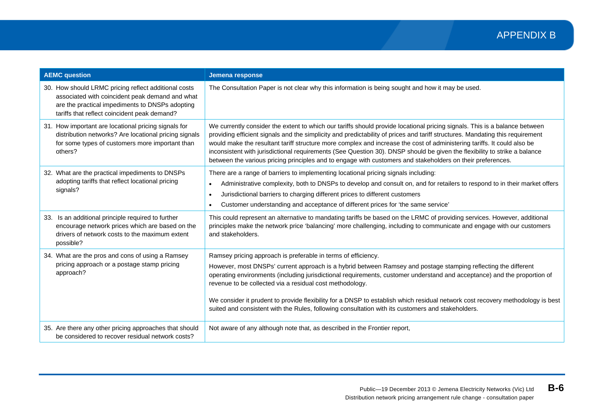| <b>AEMC</b> question                                                                                                                                                                                       | Jemena response                                                                                                                                                                                                                                                                                                                                                                                                                                                                                                                                                                                                                   |
|------------------------------------------------------------------------------------------------------------------------------------------------------------------------------------------------------------|-----------------------------------------------------------------------------------------------------------------------------------------------------------------------------------------------------------------------------------------------------------------------------------------------------------------------------------------------------------------------------------------------------------------------------------------------------------------------------------------------------------------------------------------------------------------------------------------------------------------------------------|
| 30. How should LRMC pricing reflect additional costs<br>associated with coincident peak demand and what<br>are the practical impediments to DNSPs adopting<br>tariffs that reflect coincident peak demand? | The Consultation Paper is not clear why this information is being sought and how it may be used.                                                                                                                                                                                                                                                                                                                                                                                                                                                                                                                                  |
| 31. How important are locational pricing signals for<br>distribution networks? Are locational pricing signals<br>for some types of customers more important than<br>others?                                | We currently consider the extent to which our tariffs should provide locational pricing signals. This is a balance between<br>providing efficient signals and the simplicity and predictability of prices and tariff structures. Mandating this requirement<br>would make the resultant tariff structure more complex and increase the cost of administering tariffs. It could also be<br>inconsistent with jurisdictional requirements (See Question 30). DNSP should be given the flexibility to strike a balance<br>between the various pricing principles and to engage with customers and stakeholders on their preferences. |
| 32. What are the practical impediments to DNSPs<br>adopting tariffs that reflect locational pricing<br>signals?                                                                                            | There are a range of barriers to implementing locational pricing signals including:<br>Administrative complexity, both to DNSPs to develop and consult on, and for retailers to respond to in their market offers<br>$\bullet$<br>Jurisdictional barriers to charging different prices to different customers<br>$\bullet$<br>Customer understanding and acceptance of different prices for 'the same service'                                                                                                                                                                                                                    |
| 33. Is an additional principle required to further<br>encourage network prices which are based on the<br>drivers of network costs to the maximum extent<br>possible?                                       | This could represent an alternative to mandating tariffs be based on the LRMC of providing services. However, additional<br>principles make the network price 'balancing' more challenging, including to communicate and engage with our customers<br>and stakeholders.                                                                                                                                                                                                                                                                                                                                                           |
| 34. What are the pros and cons of using a Ramsey<br>pricing approach or a postage stamp pricing<br>approach?                                                                                               | Ramsey pricing approach is preferable in terms of efficiency.<br>However, most DNSPs' current approach is a hybrid between Ramsey and postage stamping reflecting the different<br>operating environments (including jurisdictional requirements, customer understand and acceptance) and the proportion of<br>revenue to be collected via a residual cost methodology.<br>We consider it prudent to provide flexibility for a DNSP to establish which residual network cost recovery methodology is best<br>suited and consistent with the Rules, following consultation with its customers and stakeholders.                    |
| 35. Are there any other pricing approaches that should<br>be considered to recover residual network costs?                                                                                                 | Not aware of any although note that, as described in the Frontier report,                                                                                                                                                                                                                                                                                                                                                                                                                                                                                                                                                         |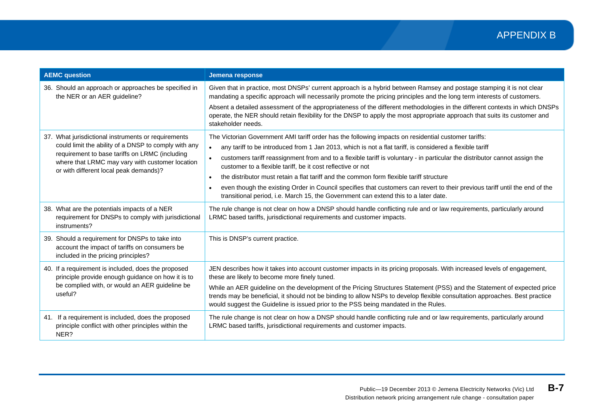| <b>AEMC question</b>                                                                                                                                                                                                                                       | Jemena response                                                                                                                                                                                                                                                                                                                                                                                                                                                                                                                                                                                                                                                                                                                                                       |
|------------------------------------------------------------------------------------------------------------------------------------------------------------------------------------------------------------------------------------------------------------|-----------------------------------------------------------------------------------------------------------------------------------------------------------------------------------------------------------------------------------------------------------------------------------------------------------------------------------------------------------------------------------------------------------------------------------------------------------------------------------------------------------------------------------------------------------------------------------------------------------------------------------------------------------------------------------------------------------------------------------------------------------------------|
| 36. Should an approach or approaches be specified in<br>the NER or an AER guideline?                                                                                                                                                                       | Given that in practice, most DNSPs' current approach is a hybrid between Ramsey and postage stamping it is not clear<br>mandating a specific approach will necessarily promote the pricing principles and the long term interests of customers.<br>Absent a detailed assessment of the appropriateness of the different methodologies in the different contexts in which DNSPs<br>operate, the NER should retain flexibility for the DNSP to apply the most appropriate approach that suits its customer and<br>stakeholder needs.                                                                                                                                                                                                                                    |
| 37. What jurisdictional instruments or requirements<br>could limit the ability of a DNSP to comply with any<br>requirement to base tariffs on LRMC (including<br>where that LRMC may vary with customer location<br>or with different local peak demands)? | The Victorian Government AMI tariff order has the following impacts on residential customer tariffs:<br>any tariff to be introduced from 1 Jan 2013, which is not a flat tariff, is considered a flexible tariff<br>$\bullet$<br>customers tariff reassignment from and to a flexible tariff is voluntary - in particular the distributor cannot assign the<br>$\bullet$<br>customer to a flexible tariff, be it cost reflective or not<br>the distributor must retain a flat tariff and the common form flexible tariff structure<br>$\bullet$<br>even though the existing Order in Council specifies that customers can revert to their previous tariff until the end of the<br>transitional period, i.e. March 15, the Government can extend this to a later date. |
| 38. What are the potentials impacts of a NER<br>requirement for DNSPs to comply with jurisdictional<br>instruments?                                                                                                                                        | The rule change is not clear on how a DNSP should handle conflicting rule and or law requirements, particularly around<br>LRMC based tariffs, jurisdictional requirements and customer impacts.                                                                                                                                                                                                                                                                                                                                                                                                                                                                                                                                                                       |
| 39. Should a requirement for DNSPs to take into<br>account the impact of tariffs on consumers be<br>included in the pricing principles?                                                                                                                    | This is DNSP's current practice.                                                                                                                                                                                                                                                                                                                                                                                                                                                                                                                                                                                                                                                                                                                                      |
| 40. If a requirement is included, does the proposed<br>principle provide enough guidance on how it is to<br>be complied with, or would an AER guideline be<br>useful?                                                                                      | JEN describes how it takes into account customer impacts in its pricing proposals. With increased levels of engagement,<br>these are likely to become more finely tuned.<br>While an AER guideline on the development of the Pricing Structures Statement (PSS) and the Statement of expected price<br>trends may be beneficial, it should not be binding to allow NSPs to develop flexible consultation approaches. Best practice<br>would suggest the Guideline is issued prior to the PSS being mandated in the Rules.                                                                                                                                                                                                                                             |
| 41. If a requirement is included, does the proposed<br>principle conflict with other principles within the<br>NER?                                                                                                                                         | The rule change is not clear on how a DNSP should handle conflicting rule and or law requirements, particularly around<br>LRMC based tariffs, jurisdictional requirements and customer impacts.                                                                                                                                                                                                                                                                                                                                                                                                                                                                                                                                                                       |